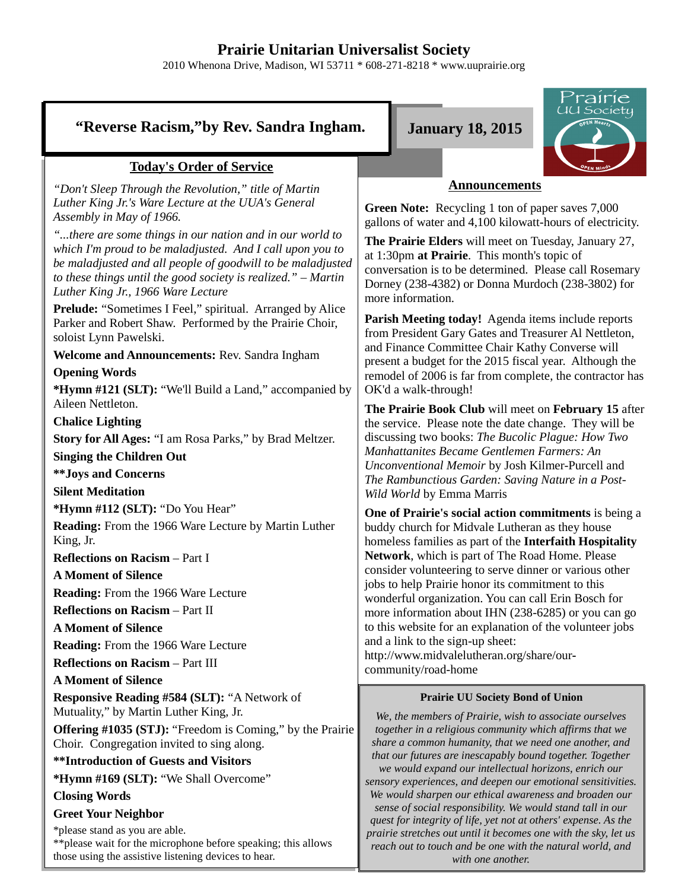# **Prairie Unitarian Universalist Society**

2010 Whenona Drive, Madison, WI 53711 \* 608-271-8218 \* www.uuprairie.org

# **"Reverse Racism,"by Rev. Sandra Ingham. January 18, 2015**



## **Today's Order of Service**

*"Don't Sleep Through the Revolution," title of Martin Luther King Jr.'s Ware Lecture at the UUA's General Assembly in May of 1966.*

*"...there are some things in our nation and in our world to which I'm proud to be maladjusted. And I call upon you to be maladjusted and all people of goodwill to be maladjusted to these things until the good society is realized." – Martin Luther King Jr., 1966 Ware Lecture*

**Prelude:** "Sometimes I Feel," spiritual. Arranged by Alice Parker and Robert Shaw. Performed by the Prairie Choir, soloist Lynn Pawelski.

**Welcome and Announcements:** Rev. Sandra Ingham

#### **Opening Words**

**\*Hymn #121 (SLT):** "We'll Build a Land," accompanied by Aileen Nettleton.

**Chalice Lighting**

**Story for All Ages:** "I am Rosa Parks," by Brad Meltzer.

**Singing the Children Out**

**\*\*Joys and Concerns**

**Silent Meditation**

**\*Hymn #112 (SLT):** "Do You Hear"

**Reading:** From the 1966 Ware Lecture by Martin Luther King, Jr.

**Reflections on Racism** – Part I

**A Moment of Silence**

**Reading:** From the 1966 Ware Lecture

**Reflections on Racism** – Part II

**A Moment of Silence**

**Reading:** From the 1966 Ware Lecture

**Reflections on Racism** – Part III

**A Moment of Silence**

**Responsive Reading #584 (SLT):** "A Network of Mutuality," by Martin Luther King, Jr.

**Offering #1035 (STJ):** "Freedom is Coming," by the Prairie Choir. Congregation invited to sing along.

**\*\*Introduction of Guests and Visitors**

**\*Hymn #169 (SLT):** "We Shall Overcome"

### **Closing Words**

**Greet Your Neighbor**

\*please stand as you are able. \*\*please wait for the microphone before speaking; this allows those using the assistive listening devices to hear.

## **Announcements**

**Green Note:** Recycling 1 ton of paper saves 7,000 gallons of water and 4,100 kilowatt-hours of electricity.

**The Prairie Elders** will meet on Tuesday, January 27, at 1:30pm **at Prairie**. This month's topic of conversation is to be determined. Please call Rosemary Dorney (238-4382) or Donna Murdoch (238-3802) for more information.

**Parish Meeting today!** Agenda items include reports from President Gary Gates and Treasurer Al Nettleton, and Finance Committee Chair Kathy Converse will present a budget for the 2015 fiscal year. Although the remodel of 2006 is far from complete, the contractor has OK'd a walk-through!

**The Prairie Book Club** will meet on **February 15** after the service. Please note the date change. They will be discussing two books: *The Bucolic Plague: How Two Manhattanites Became Gentlemen Farmers: An Unconventional Memoir* by Josh Kilmer-Purcell and *The Rambunctious Garden: Saving Nature in a Post-Wild World* by Emma Marris

**One of Prairie's social action commitments** is being a buddy church for Midvale Lutheran as they house homeless families as part of the **Interfaith Hospitality Network**, which is part of The Road Home. Please consider volunteering to serve dinner or various other jobs to help Prairie honor its commitment to this wonderful organization. You can call Erin Bosch for more information about IHN (238-6285) or you can go to this website for an explanation of the volunteer jobs and a link to the sign-up sheet:

http://www.midvalelutheran.org/share/ourcommunity/road-home

#### **Prairie UU Society Bond of Union**

*We, the members of Prairie, wish to associate ourselves together in a religious community which affirms that we share a common humanity, that we need one another, and that our futures are inescapably bound together. Together we would expand our intellectual horizons, enrich our sensory experiences, and deepen our emotional sensitivities. We would sharpen our ethical awareness and broaden our sense of social responsibility. We would stand tall in our quest for integrity of life, yet not at others' expense. As the prairie stretches out until it becomes one with the sky, let us reach out to touch and be one with the natural world, and with one another.*